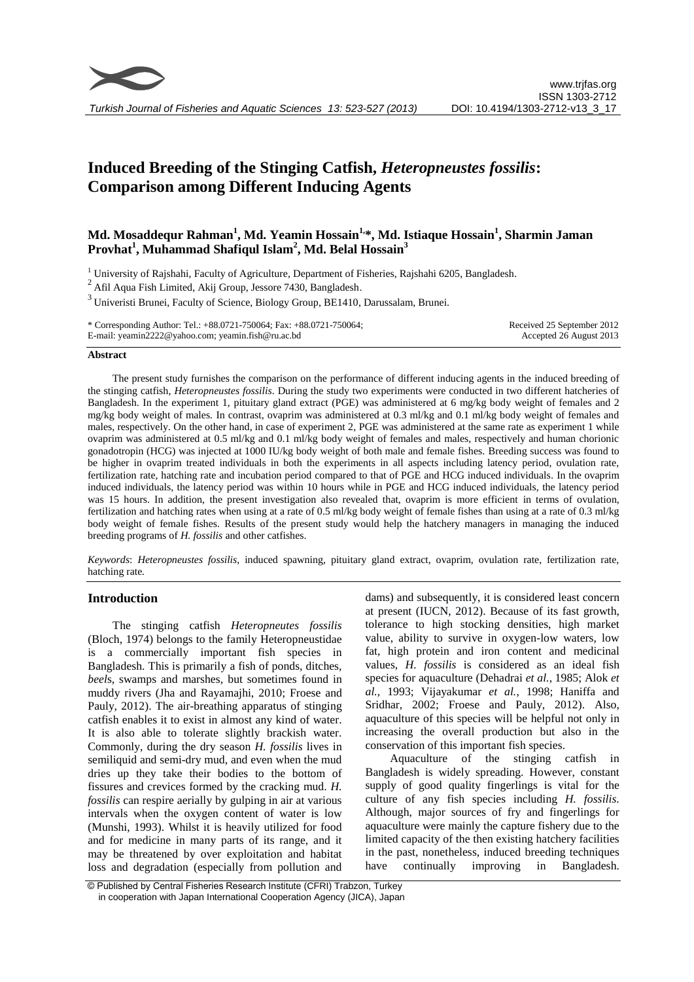

# **Induced Breeding of the Stinging Catfish,** *Heteropneustes fossilis***: Comparison among Different Inducing Agents**

# **Md. Mosaddequr Rahman<sup>1</sup> , Md. Yeamin Hossain1, \*, Md. Istiaque Hossain<sup>1</sup> , Sharmin Jaman Provhat<sup>1</sup> , Muhammad Shafiqul Islam<sup>2</sup> , Md. Belal Hossain<sup>3</sup>**

 $1$  University of Rajshahi, Faculty of Agriculture, Department of Fisheries, Rajshahi 6205, Bangladesh.

 $2$ Afil Aqua Fish Limited, Akij Group, Jessore 7430, Bangladesh.

<sup>3</sup> Univeristi Brunei, Faculty of Science, Biology Group, BE1410, Darussalam, Brunei.

\* Corresponding Author: Tel.: +88.0721-750064; Fax: +88.0721-750064; E-mail: yeamin2222@yahoo.com; yeamin.fish@ru.ac.bd Received 25 September 2012 Accepted 26 August 2013

#### **Abstract**

The present study furnishes the comparison on the performance of different inducing agents in the induced breeding of the stinging catfish, *Heteropneustes fossilis*. During the study two experiments were conducted in two different hatcheries of Bangladesh. In the experiment 1, pituitary gland extract (PGE) was administered at 6 mg/kg body weight of females and 2 mg/kg body weight of males. In contrast, ovaprim was administered at 0.3 ml/kg and 0.1 ml/kg body weight of females and males, respectively. On the other hand, in case of experiment 2, PGE was administered at the same rate as experiment 1 while ovaprim was administered at 0.5 ml/kg and 0.1 ml/kg body weight of females and males, respectively and human chorionic gonadotropin (HCG) was injected at 1000 IU/kg body weight of both male and female fishes. Breeding success was found to be higher in ovaprim treated individuals in both the experiments in all aspects including latency period, ovulation rate, fertilization rate, hatching rate and incubation period compared to that of PGE and HCG induced individuals*.* In the ovaprim induced individuals, the latency period was within 10 hours while in PGE and HCG induced individuals, the latency period was 15 hours. In addition, the present investigation also revealed that, ovaprim is more efficient in terms of ovulation, fertilization and hatching rates when using at a rate of 0.5 ml/kg body weight of female fishes than using at a rate of 0.3 ml/kg body weight of female fishes. Results of the present study would help the hatchery managers in managing the induced breeding programs of *H. fossilis* and other catfishes.

*Keywords*: *Heteropneustes fossilis*, induced spawning, pituitary gland extract, ovaprim, ovulation rate, fertilization rate, hatching rate*.*

## **Introduction**

The stinging catfish *Heteropneutes fossilis* (Bloch, 1974) belongs to the family Heteropneustidae is a commercially important fish species in Bangladesh. This is primarily a fish of ponds, ditches, *beel*s, swamps and marshes, but sometimes found in muddy rivers (Jha and Rayamajhi, 2010; Froese and Pauly, 2012). The air-breathing apparatus of stinging catfish enables it to exist in almost any kind of water. It is also able to tolerate slightly brackish water. Commonly, during the dry season *H. fossilis* lives in semiliquid and semi-dry mud, and even when the mud dries up they take their bodies to the bottom of fissures and crevices formed by the cracking mud. *H. fossilis* can respire aerially by gulping in air at various intervals when the oxygen content of water is low (Munshi, 1993). Whilst it is heavily utilized for food and for medicine in many parts of its range, and it may be threatened by over exploitation and habitat loss and degradation (especially from pollution and dams) and subsequently, it is considered least concern at present (IUCN, 2012). Because of its fast growth, tolerance to high stocking densities, high market value, ability to survive in oxygen-low waters, low fat, high protein and iron content and medicinal values, *H. fossilis* is considered as an ideal fish species for aquaculture (Dehadrai *et al.*, 1985; Alok *et al.*, 1993; Vijayakumar *et al.*, 1998; Haniffa and Sridhar, 2002; Froese and Pauly, 2012). Also, aquaculture of this species will be helpful not only in increasing the overall production but also in the conservation of this important fish species.

Aquaculture of the stinging catfish in Bangladesh is widely spreading. However, constant supply of good quality fingerlings is vital for the culture of any fish species including *H. fossilis*. Although, major sources of fry and fingerlings for aquaculture were mainly the capture fishery due to the limited capacity of the then existing hatchery facilities in the past, nonetheless, induced breeding techniques have continually improving in Bangladesh.

<sup>©</sup> Published by Central Fisheries Research Institute (CFRI) Trabzon, Turkey in cooperation with Japan International Cooperation Agency (JICA), Japan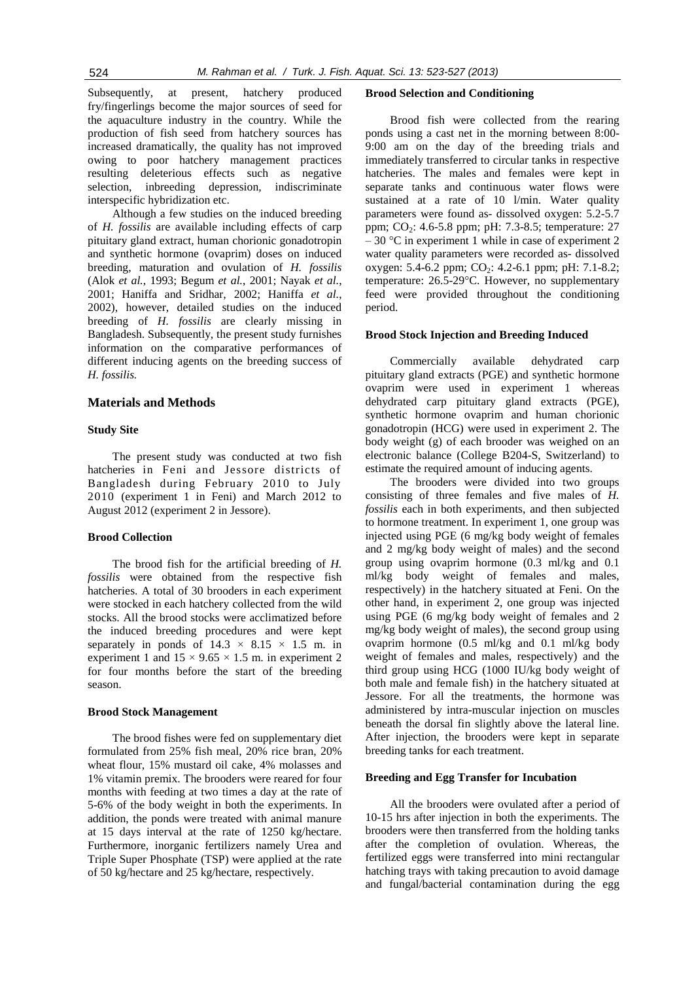Subsequently, at present, hatchery produced fry/fingerlings become the major sources of seed for the aquaculture industry in the country. While the production of fish seed from hatchery sources has increased dramatically, the quality has not improved owing to poor hatchery management practices resulting deleterious effects such as negative selection, inbreeding depression, indiscriminate interspecific hybridization etc.

Although a few studies on the induced breeding of *H. fossilis* are available including effects of carp pituitary gland extract, human chorionic gonadotropin and synthetic hormone (ovaprim) doses on induced breeding, maturation and ovulation of *H. fossilis* (Alok *et al.*, 1993; Begum *et al.*, 2001; Nayak *et al.*, 2001; Haniffa and Sridhar, 2002; Haniffa *et al.*, 2002), however, detailed studies on the induced breeding of *H. fossilis* are clearly missing in Bangladesh. Subsequently, the present study furnishes information on the comparative performances of different inducing agents on the breeding success of *H. fossilis.*

#### **Materials and Methods**

## **Study Site**

The present study was conducted at two fish hatcheries in Feni and Jessore districts of Bangladesh during February 2010 to July 2010 (experiment 1 in Feni) and March 2012 to August 2012 (experiment 2 in Jessore).

#### **Brood Collection**

The brood fish for the artificial breeding of *H. fossilis* were obtained from the respective fish hatcheries. A total of 30 brooders in each experiment were stocked in each hatchery collected from the wild stocks. All the brood stocks were acclimatized before the induced breeding procedures and were kept separately in ponds of  $14.3 \times 8.15 \times 1.5$  m. in experiment 1 and  $15 \times 9.65 \times 1.5$  m. in experiment 2 for four months before the start of the breeding season.

#### **Brood Stock Management**

The brood fishes were fed on supplementary diet formulated from 25% fish meal, 20% rice bran, 20% wheat flour, 15% mustard oil cake, 4% molasses and 1% vitamin premix. The brooders were reared for four months with feeding at two times a day at the rate of 5-6% of the body weight in both the experiments. In addition, the ponds were treated with animal manure at 15 days interval at the rate of 1250 kg/hectare. Furthermore, inorganic fertilizers namely Urea and Triple Super Phosphate (TSP) were applied at the rate of 50 kg/hectare and 25 kg/hectare, respectively.

#### **Brood Selection and Conditioning**

Brood fish were collected from the rearing ponds using a cast net in the morning between 8:00- 9:00 am on the day of the breeding trials and immediately transferred to circular tanks in respective hatcheries. The males and females were kept in separate tanks and continuous water flows were sustained at a rate of 10 l/min. Water quality parameters were found as- dissolved oxygen: 5.2-5.7 ppm; CO<sub>2</sub>: 4.6-5.8 ppm; pH: 7.3-8.5; temperature: 27  $-30$  °C in experiment 1 while in case of experiment 2 water quality parameters were recorded as- dissolved oxygen: 5.4-6.2 ppm;  $CO_2$ : 4.2-6.1 ppm; pH: 7.1-8.2; temperature: 26.5-29°C. However, no supplementary feed were provided throughout the conditioning period.

#### **Brood Stock Injection and Breeding Induced**

Commercially available dehydrated carp pituitary gland extracts (PGE) and synthetic hormone ovaprim were used in experiment 1 whereas dehydrated carp pituitary gland extracts (PGE), synthetic hormone ovaprim and human chorionic gonadotropin (HCG) were used in experiment 2. The body weight (g) of each brooder was weighed on an electronic balance (College B204-S, Switzerland) to estimate the required amount of inducing agents.

The brooders were divided into two groups consisting of three females and five males of *H. fossilis* each in both experiments, and then subjected to hormone treatment. In experiment 1, one group was injected using PGE (6 mg/kg body weight of females and 2 mg/kg body weight of males) and the second group using ovaprim hormone (0.3 ml/kg and 0.1 ml/kg body weight of females and males, respectively) in the hatchery situated at Feni. On the other hand, in experiment 2, one group was injected using PGE (6 mg/kg body weight of females and 2 mg/kg body weight of males), the second group using ovaprim hormone (0.5 ml/kg and 0.1 ml/kg body weight of females and males, respectively) and the third group using HCG (1000 IU/kg body weight of both male and female fish) in the hatchery situated at Jessore. For all the treatments, the hormone was administered by intra-muscular injection on muscles beneath the dorsal fin slightly above the lateral line. After injection, the brooders were kept in separate breeding tanks for each treatment.

#### **Breeding and Egg Transfer for Incubation**

All the brooders were ovulated after a period of 10-15 hrs after injection in both the experiments. The brooders were then transferred from the holding tanks after the completion of ovulation. Whereas, the fertilized eggs were transferred into mini rectangular hatching trays with taking precaution to avoid damage and fungal/bacterial contamination during the egg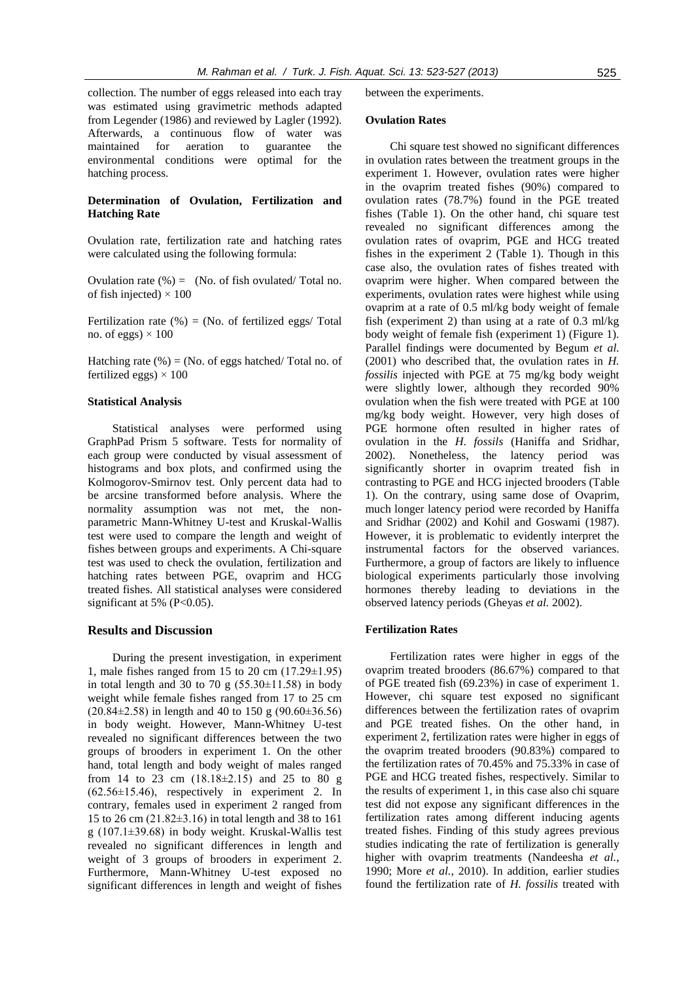collection. The number of eggs released into each tray was estimated using gravimetric methods adapted from Legender (1986) and reviewed by Lagler (1992). Afterwards, a continuous flow of water was maintained for aeration to guarantee the environmental conditions were optimal for the hatching process.

## **Determination of Ovulation, Fertilization and Hatching Rate**

Ovulation rate, fertilization rate and hatching rates were calculated using the following formula:

Ovulation rate  $(\%) = (No. of fish ovulated/Total no)$ . of fish injected)  $\times$  100

Fertilization rate  $(\%)$  = (No. of fertilized eggs/ Total no. of eggs)  $\times$  100

Hatching rate  $(\%)$  = (No. of eggs hatched/ Total no. of fertilized eggs)  $\times$  100

#### **Statistical Analysis**

Statistical analyses were performed using GraphPad Prism 5 software. Tests for normality of each group were conducted by visual assessment of histograms and box plots, and confirmed using the Kolmogorov-Smirnov test. Only percent data had to be arcsine transformed before analysis. Where the normality assumption was not met, the nonparametric Mann-Whitney U-test and Kruskal-Wallis test were used to compare the length and weight of fishes between groups and experiments. A Chi-square test was used to check the ovulation, fertilization and hatching rates between PGE, ovaprim and HCG treated fishes. All statistical analyses were considered significant at 5% (P<0.05).

## **Results and Discussion**

During the present investigation, in experiment 1, male fishes ranged from 15 to 20 cm  $(17.29 \pm 1.95)$ in total length and 30 to 70 g  $(55.30\pm11.58)$  in body weight while female fishes ranged from 17 to 25 cm  $(20.84\pm2.58)$  in length and 40 to 150 g  $(90.60\pm36.56)$ in body weight. However, Mann-Whitney U-test revealed no significant differences between the two groups of brooders in experiment 1. On the other hand, total length and body weight of males ranged from 14 to 23 cm  $(18.18\pm2.15)$  and 25 to 80 g (62.56±15.46), respectively in experiment 2. In contrary, females used in experiment 2 ranged from 15 to 26 cm (21.82±3.16) in total length and 38 to 161 g (107.1±39.68) in body weight. Kruskal-Wallis test revealed no significant differences in length and weight of 3 groups of brooders in experiment 2. Furthermore, Mann-Whitney U-test exposed no significant differences in length and weight of fishes between the experiments.

#### **Ovulation Rates**

Chi square test showed no significant differences in ovulation rates between the treatment groups in the experiment 1. However, ovulation rates were higher in the ovaprim treated fishes (90%) compared to ovulation rates (78.7%) found in the PGE treated fishes (Table 1). On the other hand, chi square test revealed no significant differences among the ovulation rates of ovaprim, PGE and HCG treated fishes in the experiment 2 (Table 1). Though in this case also, the ovulation rates of fishes treated with ovaprim were higher. When compared between the experiments, ovulation rates were highest while using ovaprim at a rate of 0.5 ml/kg body weight of female fish (experiment 2) than using at a rate of 0.3 ml/kg body weight of female fish (experiment 1) (Figure 1). Parallel findings were documented by Begum *et al.* (2001) who described that, the ovulation rates in *H. fossilis* injected with PGE at 75 mg/kg body weight were slightly lower, although they recorded 90% ovulation when the fish were treated with PGE at 100 mg/kg body weight. However, very high doses of PGE hormone often resulted in higher rates of ovulation in the *H*. *fossils* (Haniffa and Sridhar, 2002). Nonetheless, the latency period was significantly shorter in ovaprim treated fish in contrasting to PGE and HCG injected brooders (Table 1). On the contrary, using same dose of Ovaprim, much longer latency period were recorded by Haniffa and Sridhar (2002) and Kohil and Goswami (1987). However, it is problematic to evidently interpret the instrumental factors for the observed variances. Furthermore, a group of factors are likely to influence biological experiments particularly those involving hormones thereby leading to deviations in the observed latency periods (Gheyas *et al.* 2002).

#### **Fertilization Rates**

Fertilization rates were higher in eggs of the ovaprim treated brooders (86.67%) compared to that of PGE treated fish (69.23%) in case of experiment 1. However, chi square test exposed no significant differences between the fertilization rates of ovaprim and PGE treated fishes. On the other hand, in experiment 2, fertilization rates were higher in eggs of the ovaprim treated brooders (90.83%) compared to the fertilization rates of 70.45% and 75.33% in case of PGE and HCG treated fishes, respectively. Similar to the results of experiment 1, in this case also chi square test did not expose any significant differences in the fertilization rates among different inducing agents treated fishes. Finding of this study agrees previous studies indicating the rate of fertilization is generally higher with ovaprim treatments (Nandeesha *et al.*, 1990; More *et al.*, 2010). In addition, earlier studies found the fertilization rate of *H. fossilis* treated with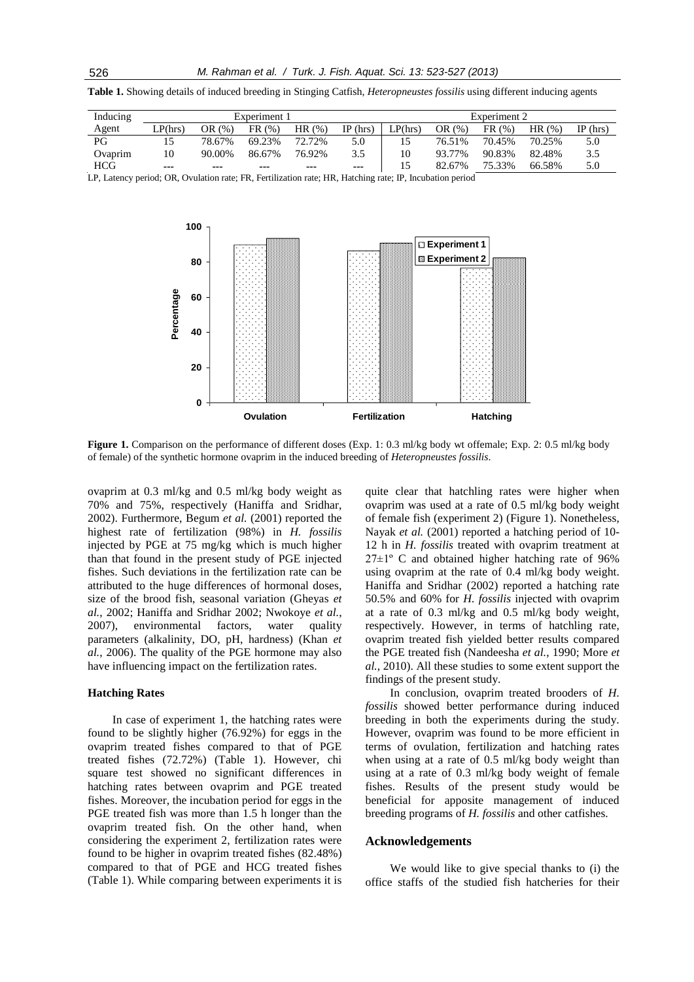**Table 1.** Showing details of induced breeding in Stinging Catfish, *Heteropneustes fossilis* using different inducing agents

| Inducing   | Experiment 1 |        |        |        |            | Experiment 2 |        |        |        |            |
|------------|--------------|--------|--------|--------|------------|--------------|--------|--------|--------|------------|
| Agent      | LP(hrs)      | OR(%)  | FR(%)  | HR(%)  | $IP$ (hrs) | LP(hrs)      | OR(%)  | FR(%)  | HR(%)  | $IP$ (hrs) |
| PG         |              | 78.67% | 69.23% | 72.72% | 5.0        |              | 76.51% | 70.45% | 70.25% | 5.0        |
| Ovaprim    | 10           | 90.00% | 86.67% | 76.92% | 3.5        | 10           | 93.77% | 90.83% | 82.48% | 3.5        |
| <b>HCG</b> | ---          | ---    | ---    | ---    | $- - -$    | 15           | 82.67% | 75.33% | 66.58% | 5.0        |

LP, Latency period; OR, Ovulation rate; FR, Fertilization rate; HR, Hatching rate; IP, Incubation period



**Figure 1.** Comparison on the performance of different doses (Exp. 1: 0.3 ml/kg body wt offemale; Exp. 2: 0.5 ml/kg body of female) of the synthetic hormone ovaprim in the induced breeding of *Heteropneustes fossilis*.

ovaprim at 0.3 ml/kg and 0.5 ml/kg body weight as 70% and 75%, respectively (Haniffa and Sridhar, 2002). Furthermore, Begum *et al.* (2001) reported the highest rate of fertilization (98%) in *H. fossilis* injected by PGE at 75 mg/kg which is much higher than that found in the present study of PGE injected fishes. Such deviations in the fertilization rate can be attributed to the huge differences of hormonal doses, size of the brood fish, seasonal variation (Gheyas *et al.*, 2002; Haniffa and Sridhar 2002; Nwokoye *et al.*, 2007), environmental factors, water quality parameters (alkalinity, DO, pH, hardness) (Khan *et al.*, 2006). The quality of the PGE hormone may also have influencing impact on the fertilization rates.

#### **Hatching Rates**

In case of experiment 1, the hatching rates were found to be slightly higher (76.92%) for eggs in the ovaprim treated fishes compared to that of PGE treated fishes (72.72%) (Table 1). However, chi square test showed no significant differences in hatching rates between ovaprim and PGE treated fishes. Moreover, the incubation period for eggs in the PGE treated fish was more than 1.5 h longer than the ovaprim treated fish. On the other hand, when considering the experiment 2, fertilization rates were found to be higher in ovaprim treated fishes (82.48%) compared to that of PGE and HCG treated fishes (Table 1). While comparing between experiments it is quite clear that hatchling rates were higher when ovaprim was used at a rate of 0.5 ml/kg body weight of female fish (experiment 2) (Figure 1). Nonetheless, Nayak *et al.* (2001) reported a hatching period of 10- 12 h in *H. fossilis* treated with ovaprim treatment at  $27\pm1$ <sup>o</sup> C and obtained higher hatching rate of 96% using ovaprim at the rate of 0.4 ml/kg body weight. Haniffa and Sridhar (2002) reported a hatching rate 50.5% and 60% for *H. fossilis* injected with ovaprim at a rate of 0.3 ml/kg and 0.5 ml/kg body weight, respectively. However, in terms of hatchling rate, ovaprim treated fish yielded better results compared the PGE treated fish (Nandeesha *et al.*, 1990; More *et al.*, 2010). All these studies to some extent support the findings of the present study.

In conclusion, ovaprim treated brooders of *H. fossilis* showed better performance during induced breeding in both the experiments during the study. However, ovaprim was found to be more efficient in terms of ovulation, fertilization and hatching rates when using at a rate of 0.5 ml/kg body weight than using at a rate of 0.3 ml/kg body weight of female fishes. Results of the present study would be beneficial for apposite management of induced breeding programs of *H. fossilis* and other catfishes.

## **Acknowledgements**

We would like to give special thanks to (i) the office staffs of the studied fish hatcheries for their